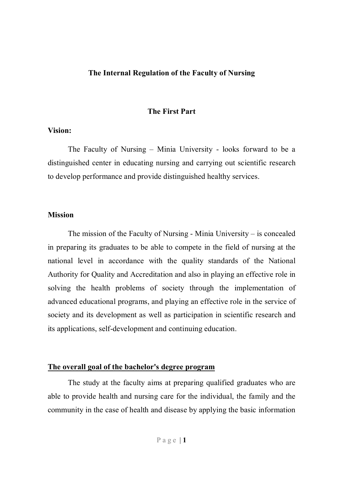#### **The Internal Regulation of the Faculty of Nursing**

#### **The First Part**

#### **Vision:**

The Faculty of Nursing – Minia University - looks forward to be a distinguished center in educating nursing and carrying out scientific research to develop performance and provide distinguished healthy services.

#### **Mission**

The mission of the Faculty of Nursing - Minia University – is concealed in preparing its graduates to be able to compete in the field of nursing at the national level in accordance with the quality standards of the National Authority for Quality and Accreditation and also in playing an effective role in solving the health problems of society through the implementation of advanced educational programs, and playing an effective role in the service of society and its development as well as participation in scientific research and its applications, self-development and continuing education.

#### **The overall goal of the bachelor's degree program**

The study at the faculty aims at preparing qualified graduates who are able to provide health and nursing care for the individual, the family and the community in the case of health and disease by applying the basic information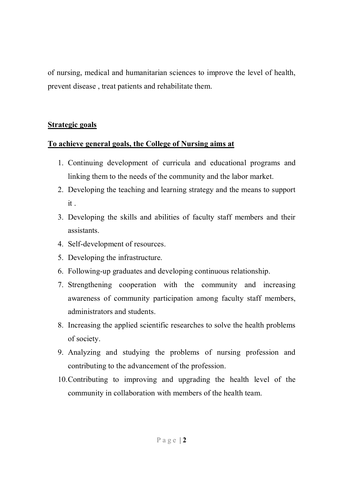of nursing, medical and humanitarian sciences to improve the level of health, prevent disease , treat patients and rehabilitate them.

# **Strategic goals**

# **To achieve general goals, the College of Nursing aims at**

- 1. Continuing development of curricula and educational programs and linking them to the needs of the community and the labor market.
- 2. Developing the teaching and learning strategy and the means to support it .
- 3. Developing the skills and abilities of faculty staff members and their assistants.
- 4. Self-development of resources.
- 5. Developing the infrastructure.
- 6. Following-up graduates and developing continuous relationship.
- 7. Strengthening cooperation with the community and increasing awareness of community participation among faculty staff members, administrators and students.
- 8. Increasing the applied scientific researches to solve the health problems of society.
- 9. Analyzing and studying the problems of nursing profession and contributing to the advancement of the profession.
- 10.Contributing to improving and upgrading the health level of the community in collaboration with members of the health team.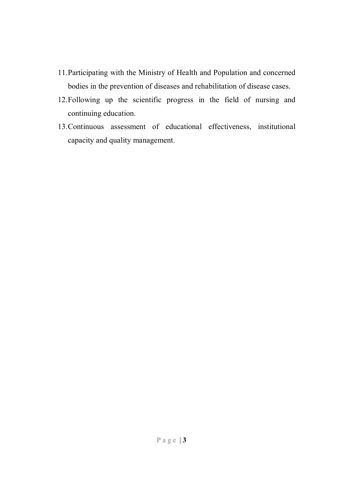- 11.Participating with the Ministry of Health and Population and concerned bodies in the prevention of diseases and rehabilitation of disease cases.
- 12.Following up the scientific progress in the field of nursing and continuing education.
- 13.Continuous assessment of educational effectiveness, institutional capacity and quality management.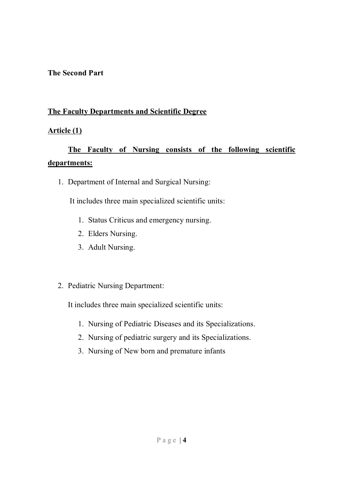# **The Second Part**

# **The Faculty Departments and Scientific Degree**

# **Article (1)**

# **The Faculty of Nursing consists of the following scientific departments:**

1. Department of Internal and Surgical Nursing:

It includes three main specialized scientific units:

- 1. Status Criticus and emergency nursing.
- 2. Elders Nursing.
- 3. Adult Nursing.
- 2. Pediatric Nursing Department:

It includes three main specialized scientific units:

- 1. Nursing of Pediatric Diseases and its Specializations.
- 2. Nursing of pediatric surgery and its Specializations.
- 3. Nursing of New born and premature infants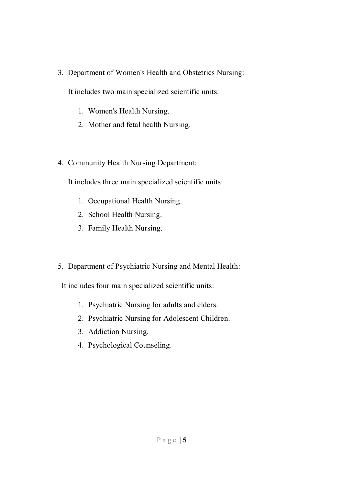3. Department of Women's Health and Obstetrics Nursing:

It includes two main specialized scientific units:

- 1. Women's Health Nursing.
- 2. Mother and fetal health Nursing.
- 4. Community Health Nursing Department:

It includes three main specialized scientific units:

- 1. Occupational Health Nursing.
- 2. School Health Nursing.
- 3. Family Health Nursing.
- 5. Department of Psychiatric Nursing and Mental Health:

It includes four main specialized scientific units:

- 1. Psychiatric Nursing for adults and elders.
- 2. Psychiatric Nursing for Adolescent Children.
- 3. Addiction Nursing.
- 4. Psychological Counseling.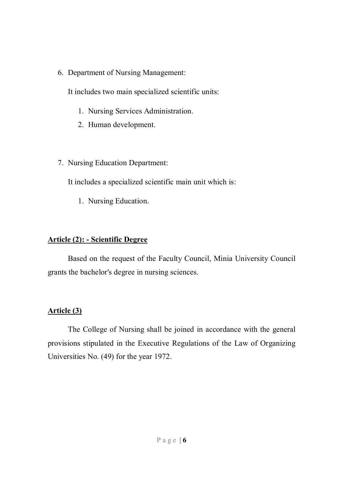6. Department of Nursing Management:

It includes two main specialized scientific units:

- 1. Nursing Services Administration.
- 2. Human development.
- 7. Nursing Education Department:

It includes a specialized scientific main unit which is:

1. Nursing Education.

# **Article (2): - Scientific Degree**

Based on the request of the Faculty Council, Minia University Council grants the bachelor's degree in nursing sciences.

# **Article (3)**

The College of Nursing shall be joined in accordance with the general provisions stipulated in the Executive Regulations of the Law of Organizing Universities No. (49) for the year 1972.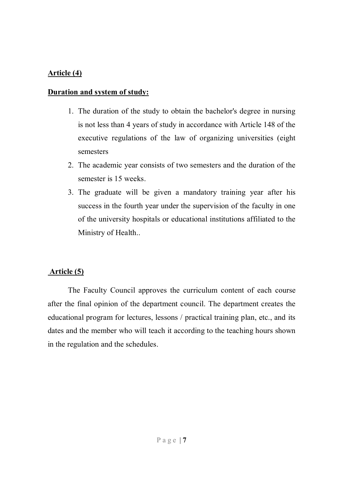# **Article (4)**

#### **Duration and system of study:**

- 1. The duration of the study to obtain the bachelor's degree in nursing is not less than 4 years of study in accordance with Article 148 of the executive regulations of the law of organizing universities (eight semesters
- 2. The academic year consists of two semesters and the duration of the semester is 15 weeks.
- 3. The graduate will be given a mandatory training year after his success in the fourth year under the supervision of the faculty in one of the university hospitals or educational institutions affiliated to the Ministry of Health..

# **Article (5)**

The Faculty Council approves the curriculum content of each course after the final opinion of the department council. The department creates the educational program for lectures, lessons / practical training plan, etc., and its dates and the member who will teach it according to the teaching hours shown in the regulation and the schedules.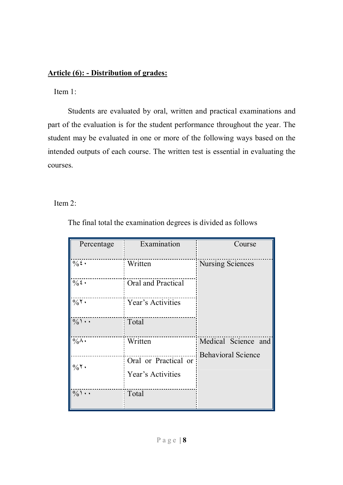# **Article (6): - Distribution of grades:**

Item 1:

Students are evaluated by oral, written and practical examinations and part of the evaluation is for the student performance throughout the year. The student may be evaluated in one or more of the following ways based on the intended outputs of each course. The written test is essential in evaluating the courses.

Item 2:

| Percentage       | Examination                               | Course                                           |
|------------------|-------------------------------------------|--------------------------------------------------|
| $\frac{1}{2}$ .  | Written                                   | <b>Nursing Sciences</b>                          |
| $\frac{1}{2}$ .  | Oral and Practical                        |                                                  |
| $\frac{1}{20}$ . | Year's Activities                         |                                                  |
| $\frac{0}{0}$    | Total                                     |                                                  |
| $\frac{1}{20}$ . | Written                                   | Medical Science and<br><b>Behavioral Science</b> |
| $\%$ ٢.          | Oral or Practical or<br>Year's Activities |                                                  |
| $\frac{0}{0}$    | Total                                     |                                                  |

The final total the examination degrees is divided as follows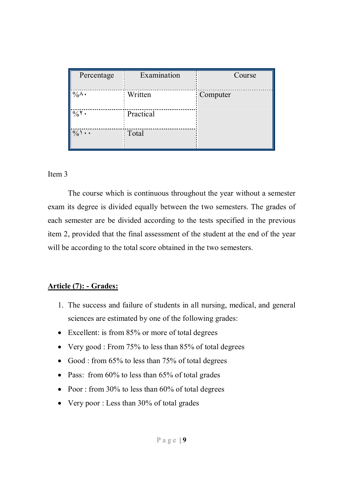| Percentage      | Examination | Course   |
|-----------------|-------------|----------|
| $\%$ $\wedge$ . | Written     | Computer |
| $\%$ ٢.         | Practical   |          |
| $\frac{0}{0}$ \ | Total       |          |

#### Item 3

The course which is continuous throughout the year without a semester exam its degree is divided equally between the two semesters. The grades of each semester are be divided according to the tests specified in the previous item 2, provided that the final assessment of the student at the end of the year will be according to the total score obtained in the two semesters.

# **Article (7): - Grades:**

- 1. The success and failure of students in all nursing, medical, and general sciences are estimated by one of the following grades:
- Excellent: is from 85% or more of total degrees
- Very good : From 75% to less than 85% of total degrees
- Good : from  $65\%$  to less than  $75\%$  of total degrees
- Pass: from 60% to less than 65% of total grades
- Poor : from 30% to less than  $60\%$  of total degrees
- Very poor : Less than 30% of total grades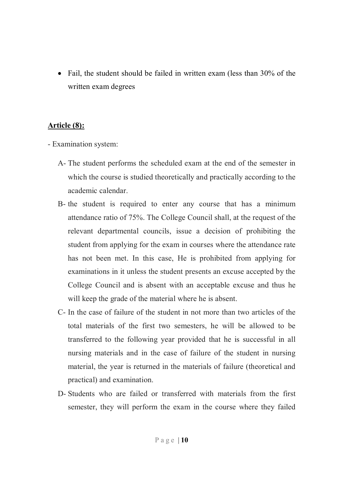• Fail, the student should be failed in written exam (less than 30% of the written exam degrees

# **Article (8):**

- Examination system:
	- A- The student performs the scheduled exam at the end of the semester in which the course is studied theoretically and practically according to the academic calendar.
	- B- the student is required to enter any course that has a minimum attendance ratio of 75%. The College Council shall, at the request of the relevant departmental councils, issue a decision of prohibiting the student from applying for the exam in courses where the attendance rate has not been met. In this case, He is prohibited from applying for examinations in it unless the student presents an excuse accepted by the College Council and is absent with an acceptable excuse and thus he will keep the grade of the material where he is absent.
	- C- In the case of failure of the student in not more than two articles of the total materials of the first two semesters, he will be allowed to be transferred to the following year provided that he is successful in all nursing materials and in the case of failure of the student in nursing material, the year is returned in the materials of failure (theoretical and practical) and examination.
	- D- Students who are failed or transferred with materials from the first semester, they will perform the exam in the course where they failed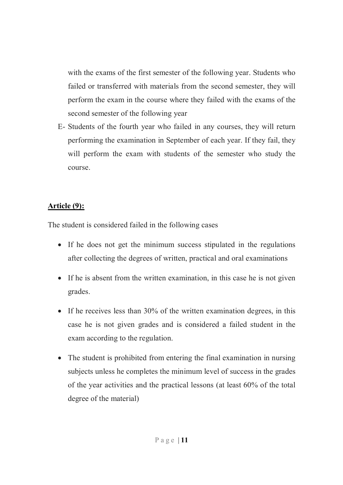with the exams of the first semester of the following year. Students who failed or transferred with materials from the second semester, they will perform the exam in the course where they failed with the exams of the second semester of the following year

E- Students of the fourth year who failed in any courses, they will return performing the examination in September of each year. If they fail, they will perform the exam with students of the semester who study the course.

# **Article (9):**

The student is considered failed in the following cases

- If he does not get the minimum success stipulated in the regulations after collecting the degrees of written, practical and oral examinations
- If he is absent from the written examination, in this case he is not given grades.
- If he receives less than 30% of the written examination degrees, in this case he is not given grades and is considered a failed student in the exam according to the regulation.
- The student is prohibited from entering the final examination in nursing subjects unless he completes the minimum level of success in the grades of the year activities and the practical lessons (at least 60% of the total degree of the material)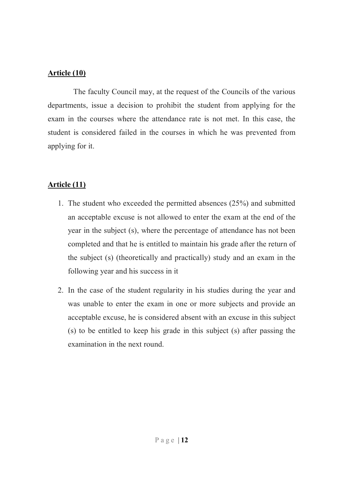# **Article (10)**

The faculty Council may, at the request of the Councils of the various departments, issue a decision to prohibit the student from applying for the exam in the courses where the attendance rate is not met. In this case, the student is considered failed in the courses in which he was prevented from applying for it.

# **Article (11)**

- 1. The student who exceeded the permitted absences (25%) and submitted an acceptable excuse is not allowed to enter the exam at the end of the year in the subject (s), where the percentage of attendance has not been completed and that he is entitled to maintain his grade after the return of the subject (s) (theoretically and practically) study and an exam in the following year and his success in it
- 2. In the case of the student regularity in his studies during the year and was unable to enter the exam in one or more subjects and provide an acceptable excuse, he is considered absent with an excuse in this subject (s) to be entitled to keep his grade in this subject (s) after passing the examination in the next round.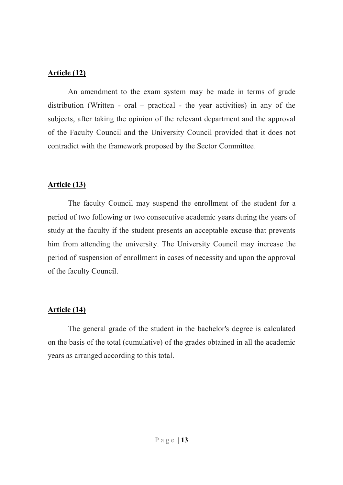### **Article (12)**

An amendment to the exam system may be made in terms of grade distribution (Written - oral – practical - the year activities) in any of the subjects, after taking the opinion of the relevant department and the approval of the Faculty Council and the University Council provided that it does not contradict with the framework proposed by the Sector Committee.

# **Article (13)**

The faculty Council may suspend the enrollment of the student for a period of two following or two consecutive academic years during the years of study at the faculty if the student presents an acceptable excuse that prevents him from attending the university. The University Council may increase the period of suspension of enrollment in cases of necessity and upon the approval of the faculty Council.

# **Article (14)**

The general grade of the student in the bachelor's degree is calculated on the basis of the total (cumulative) of the grades obtained in all the academic years as arranged according to this total.